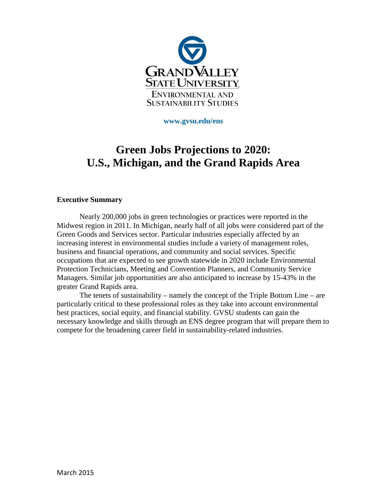

**www.gvsu.edu/ens** 

# **Green Jobs Projections to 2020: U.S., Michigan, and the Grand Rapids Area**

#### **Executive Summary**

Nearly 200,000 jobs in green technologies or practices were reported in the Midwest region in 2011. In Michigan, nearly half of all jobs were considered part of the Green Goods and Services sector. Particular industries especially affected by an increasing interest in environmental studies include a variety of management roles, business and financial operations, and community and social services. Specific occupations that are expected to see growth statewide in 2020 include Environmental Protection Technicians, Meeting and Convention Planners, and Community Service Managers. Similar job opportunities are also anticipated to increase by 15-43% in the greater Grand Rapids area.

The tenets of sustainability – namely the concept of the Triple Bottom Line – are particularly critical to these professional roles as they take into account environmental best practices, social equity, and financial stability. GVSU students can gain the necessary knowledge and skills through an ENS degree program that will prepare them to compete for the broadening career field in sustainability-related industries.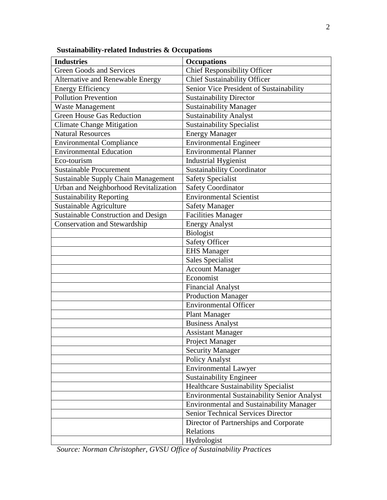| <b>Industries</b>                          | <b>Occupations</b>                                 |
|--------------------------------------------|----------------------------------------------------|
| <b>Green Goods and Services</b>            | <b>Chief Responsibility Officer</b>                |
| <b>Alternative and Renewable Energy</b>    | <b>Chief Sustainability Officer</b>                |
| Energy Efficiency                          | Senior Vice President of Sustainability            |
| <b>Pollution Prevention</b>                | <b>Sustainability Director</b>                     |
| <b>Waste Management</b>                    | <b>Sustainability Manager</b>                      |
| <b>Green House Gas Reduction</b>           | <b>Sustainability Analyst</b>                      |
| <b>Climate Change Mitigation</b>           | <b>Sustainability Specialist</b>                   |
| <b>Natural Resources</b>                   | <b>Energy Manager</b>                              |
| <b>Environmental Compliance</b>            | <b>Environmental Engineer</b>                      |
| <b>Environmental Education</b>             | <b>Environmental Planner</b>                       |
| Eco-tourism                                | <b>Industrial Hygienist</b>                        |
| <b>Sustainable Procurement</b>             | <b>Sustainability Coordinator</b>                  |
| <b>Sustainable Supply Chain Management</b> | <b>Safety Specialist</b>                           |
| Urban and Neighborhood Revitalization      | <b>Safety Coordinator</b>                          |
| <b>Sustainability Reporting</b>            | <b>Environmental Scientist</b>                     |
| Sustainable Agriculture                    | <b>Safety Manager</b>                              |
| <b>Sustainable Construction and Design</b> | <b>Facilities Manager</b>                          |
| <b>Conservation and Stewardship</b>        | <b>Energy Analyst</b>                              |
|                                            | Biologist                                          |
|                                            | <b>Safety Officer</b>                              |
|                                            | <b>EHS</b> Manager                                 |
|                                            | <b>Sales Specialist</b>                            |
|                                            | <b>Account Manager</b>                             |
|                                            | Economist                                          |
|                                            | <b>Financial Analyst</b>                           |
|                                            | <b>Production Manager</b>                          |
|                                            | <b>Environmental Officer</b>                       |
|                                            | <b>Plant Manager</b>                               |
|                                            | <b>Business Analyst</b>                            |
|                                            | <b>Assistant Manager</b>                           |
|                                            | Project Manager                                    |
|                                            | <b>Security Manager</b>                            |
|                                            | Policy Analyst                                     |
|                                            | <b>Environmental Lawyer</b>                        |
|                                            | <b>Sustainability Engineer</b>                     |
|                                            | Healthcare Sustainability Specialist               |
|                                            | <b>Environmental Sustainability Senior Analyst</b> |
|                                            | <b>Environmental and Sustainability Manager</b>    |
|                                            | Senior Technical Services Director                 |
|                                            | Director of Partnerships and Corporate             |
|                                            | Relations                                          |
|                                            | Hydrologist                                        |

**Sustainability-related Industries & Occupations** 

*Source: Norman Christopher, GVSU Office of Sustainability Practices*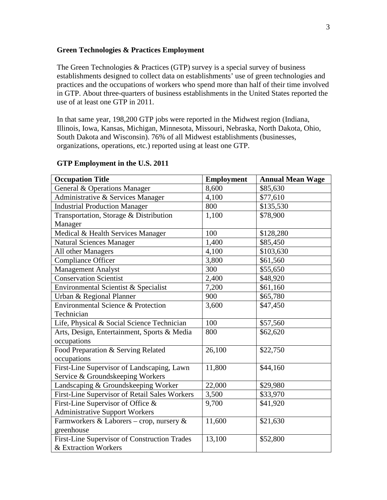#### **Green Technologies & Practices Employment**

The Green Technologies & Practices (GTP) survey is a special survey of business establishments designed to collect data on establishments' use of green technologies and practices and the occupations of workers who spend more than half of their time involved in GTP. About three-quarters of business establishments in the United States reported the use of at least one GTP in 2011.

In that same year, 198,200 GTP jobs were reported in the Midwest region (Indiana, Illinois, Iowa, Kansas, Michigan, Minnesota, Missouri, Nebraska, North Dakota, Ohio, South Dakota and Wisconsin). 76% of all Midwest establishments (businesses, organizations, operations, etc.) reported using at least one GTP.

| <b>Occupation Title</b>                       | <b>Employment</b> | <b>Annual Mean Wage</b> |
|-----------------------------------------------|-------------------|-------------------------|
| General & Operations Manager                  | 8,600             | \$85,630                |
| Administrative & Services Manager             | 4,100             | \$77,610                |
| <b>Industrial Production Manager</b>          | 800               | \$135,530               |
| Transportation, Storage & Distribution        | 1,100             | \$78,900                |
| Manager                                       |                   |                         |
| Medical & Health Services Manager             | 100               | \$128,280               |
| <b>Natural Sciences Manager</b>               | 1,400             | \$85,450                |
| All other Managers                            | 4,100             | \$103,630               |
| <b>Compliance Officer</b>                     | 3,800             | \$61,560                |
| <b>Management Analyst</b>                     | 300               | \$55,650                |
| <b>Conservation Scientist</b>                 | 2,400             | \$48,920                |
| Environmental Scientist & Specialist          | 7,200             | \$61,160                |
| Urban & Regional Planner                      | 900               | \$65,780                |
| Environmental Science & Protection            | 3,600             | \$47,450                |
| Technician                                    |                   |                         |
| Life, Physical & Social Science Technician    | 100               | \$57,560                |
| Arts, Design, Entertainment, Sports & Media   | 800               | \$62,620                |
| occupations                                   |                   |                         |
| Food Preparation & Serving Related            | 26,100            | \$22,750                |
| occupations                                   |                   |                         |
| First-Line Supervisor of Landscaping, Lawn    | 11,800            | \$44,160                |
| Service & Groundskeeping Workers              |                   |                         |
| Landscaping & Groundskeeping Worker           | 22,000            | \$29,980                |
| First-Line Supervisor of Retail Sales Workers | 3,500             | \$33,970                |
| First-Line Supervisor of Office &             | 9,700             | \$41,920                |
| <b>Administrative Support Workers</b>         |                   |                         |
| Farmworkers & Laborers - crop, nursery &      | 11,600            | \$21,630                |
| greenhouse                                    |                   |                         |
| First-Line Supervisor of Construction Trades  | 13,100            | \$52,800                |
| & Extraction Workers                          |                   |                         |

#### **GTP Employment in the U.S. 2011**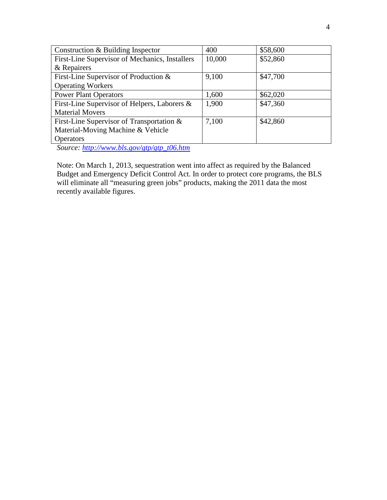| Construction & Building Inspector              | 400    | \$58,600 |
|------------------------------------------------|--------|----------|
| First-Line Supervisor of Mechanics, Installers | 10,000 | \$52,860 |
| & Repairers                                    |        |          |
| First-Line Supervisor of Production &          | 9,100  | \$47,700 |
| <b>Operating Workers</b>                       |        |          |
| <b>Power Plant Operators</b>                   | 1,600  | \$62,020 |
| First-Line Supervisor of Helpers, Laborers &   | 1,900  | \$47,360 |
| <b>Material Movers</b>                         |        |          |
| First-Line Supervisor of Transportation &      | 7,100  | \$42,860 |
| Material-Moving Machine & Vehicle              |        |          |
| <b>Operators</b>                               |        |          |

*Source: http://www.bls.gov/gtp/gtp\_t06.htm* 

Note: On March 1, 2013, sequestration went into affect as required by the Balanced Budget and Emergency Deficit Control Act. In order to protect core programs, the BLS will eliminate all "measuring green jobs" products, making the 2011 data the most recently available figures.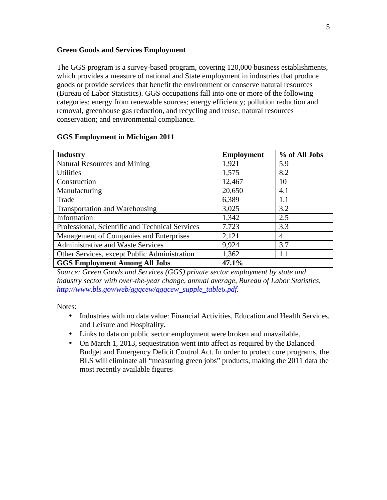#### **Green Goods and Services Employment**

The GGS program is a survey-based program, covering 120,000 business establishments, which provides a measure of national and State employment in industries that produce goods or provide services that benefit the environment or conserve natural resources (Bureau of Labor Statistics). GGS occupations fall into one or more of the following categories: energy from renewable sources; energy efficiency; pollution reduction and removal, greenhouse gas reduction, and recycling and reuse; natural resources conservation; and environmental compliance.

| <b>Industry</b>                                 | <b>Employment</b> | % of All Jobs |
|-------------------------------------------------|-------------------|---------------|
| <b>Natural Resources and Mining</b>             | 1,921             | 5.9           |
| <b>Utilities</b>                                | 1,575             | 8.2           |
| Construction                                    | 12,467            | 10            |
| Manufacturing                                   | 20,650            | 4.1           |
| Trade                                           | 6,389             | 1.1           |
| Transportation and Warehousing                  | 3,025             | 3.2           |
| Information                                     | 1,342             | 2.5           |
| Professional, Scientific and Technical Services | 7,723             | 3.3           |
| Management of Companies and Enterprises         | 2,121             | 4             |
| Administrative and Waste Services               | 9,924             | 3.7           |
| Other Services, except Public Administration    | 1,362             | 1.1           |
| <b>GGS Employment Among All Jobs</b>            | 47.1%             |               |

#### **GGS Employment in Michigan 2011**

*Source: Green Goods and Services (GGS) private sector employment by state and industry sector with over-the-year change, annual average, Bureau of Labor Statistics, http://www.bls.gov/web/ggqcew/ggqcew\_supple\_table6.pdf.* 

Notes:

- Industries with no data value: Financial Activities, Education and Health Services, and Leisure and Hospitality.
- Links to data on public sector employment were broken and unavailable.
- On March 1, 2013, sequestration went into affect as required by the Balanced Budget and Emergency Deficit Control Act. In order to protect core programs, the BLS will eliminate all "measuring green jobs" products, making the 2011 data the most recently available figures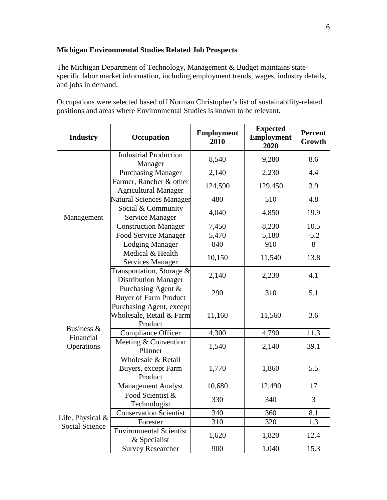### **Michigan Environmental Studies Related Job Prospects**

The Michigan Department of Technology, Management & Budget maintains statespecific labor market information, including employment trends, wages, industry details, and jobs in demand.

Occupations were selected based off Norman Christopher's list of sustainability-related positions and areas where Environmental Studies is known to be relevant.

| <b>Industry</b>                             | Occupation                                                      | <b>Employment</b><br>2010 | <b>Expected</b><br><b>Employment</b><br>2020 | <b>Percent</b><br>Growth |
|---------------------------------------------|-----------------------------------------------------------------|---------------------------|----------------------------------------------|--------------------------|
|                                             | <b>Industrial Production</b><br>Manager                         | 8,540                     | 9,280                                        | 8.6                      |
|                                             | <b>Purchasing Manager</b>                                       | 2,140                     | 2,230                                        | 4.4                      |
|                                             | Farmer, Rancher & other<br><b>Agricultural Manager</b>          | 124,590                   | 129,450                                      | 3.9                      |
|                                             | Natural Sciences Manager                                        | 480                       | 510                                          | 4.8                      |
| Management                                  | Social & Community<br>Service Manager                           | 4,040                     | 4,850                                        | 19.9                     |
|                                             | <b>Construction Manager</b>                                     | 7,450                     | 8,230                                        | 10.5                     |
|                                             | Food Service Manager                                            | 5,470                     | 5,180                                        | $-5.2$                   |
|                                             | <b>Lodging Manager</b>                                          | 840                       | 910                                          | 8                        |
|                                             | Medical & Health<br><b>Services Manager</b>                     | 10,150                    | 11,540                                       | 13.8                     |
|                                             | Transportation, Storage $\&$<br><b>Distribution Manager</b>     | 2,140                     | 2,230                                        | 4.1                      |
|                                             | Purchasing Agent &<br><b>Buyer of Farm Product</b>              | 290                       | 310                                          | 5.1                      |
|                                             | Purchasing Agent, except<br>Wholesale, Retail & Farm<br>Product | 11,160                    | 11,560                                       | 3.6                      |
| Business &<br>Financial                     | <b>Compliance Officer</b>                                       | 4,300                     | 4,790                                        | 11.3                     |
| Operations                                  | Meeting & Convention<br>Planner                                 | 1,540                     | 2,140                                        | 39.1                     |
|                                             | Wholesale & Retail<br>Buyers, except Farm<br>Product            | 1,770                     | 1,860                                        | 5.5                      |
|                                             | <b>Management Analyst</b>                                       | 10,680                    | 12,490                                       | 17                       |
| Life, Physical $&$<br><b>Social Science</b> | Food Scientist &<br>Technologist                                | 330                       | 340                                          | 3                        |
|                                             | <b>Conservation Scientist</b>                                   | 340                       | 360                                          | 8.1                      |
|                                             | Forester                                                        | 310                       | 320                                          | 1.3                      |
|                                             | <b>Environmental Scientist</b><br>& Specialist                  | 1,620                     | 1,820                                        | 12.4                     |
|                                             | <b>Survey Researcher</b>                                        | 900                       | 1,040                                        | 15.3                     |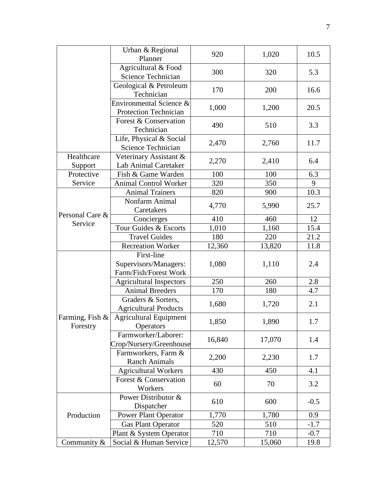|                             | Urban & Regional<br>Planner                        | 920    | 1,020  | 10.5   |
|-----------------------------|----------------------------------------------------|--------|--------|--------|
|                             | Agricultural & Food<br>Science Technician          | 300    | 320    | 5.3    |
|                             | Geological & Petroleum<br>Technician               | 170    | 200    | 16.6   |
|                             | Environmental Science &<br>Protection Technician   | 1,000  | 1,200  | 20.5   |
|                             | Forest & Conservation<br>Technician                | 490    | 510    | 3.3    |
|                             | Life, Physical & Social<br>Science Technician      | 2,470  | 2,760  | 11.7   |
| Healthcare<br>Support       | Veterinary Assistant &<br>Lab Animal Caretaker     | 2,270  | 2,410  | 6.4    |
| Protective                  | Fish & Game Warden                                 | 100    | 100    | 6.3    |
| Service                     | <b>Animal Control Worker</b>                       | 320    | 350    | 9      |
|                             | <b>Animal Trainers</b>                             | 820    | 900    | 10.3   |
|                             | Nonfarm Animal<br>Caretakers                       | 4,770  | 5,990  | 25.7   |
| Personal Care &             | Concierges                                         | 410    | 460    | 12     |
| Service                     | Tour Guides & Escorts                              | 1,010  | 1,160  | 15.4   |
|                             | <b>Travel Guides</b>                               | 180    | 220    | 21.2   |
|                             | <b>Recreation Worker</b>                           | 12,360 | 13,820 | 11.8   |
|                             | First-line<br>Supervisors/Managers:                | 1,080  | 1,110  | 2.4    |
|                             | Farm/Fish/Forest Work                              |        |        |        |
|                             | <b>Agricultural Inspectors</b>                     | 250    | 260    | 2.8    |
|                             | <b>Animal Breeders</b>                             | 170    | 180    | 4.7    |
|                             | Graders & Sorters,<br><b>Agricultural Products</b> | 1,680  | 1,720  | 2.1    |
| Farming, Fish &<br>Forestry | <b>Agricultural Equipment</b><br><b>Operators</b>  | 1,850  | 1,890  | 1.7    |
|                             | Farmworker/Laborer:<br>Crop/Nursery/Greenhouse     | 16,840 | 17,070 | 1.4    |
|                             | Farmworkers, Farm &<br><b>Ranch Animals</b>        | 2,200  | 2,230  | 1.7    |
|                             | <b>Agricultural Workers</b>                        | 430    | 450    | 4.1    |
|                             | Forest & Conservation<br>Workers                   | 60     | 70     | 3.2    |
| Production                  | Power Distributor &<br>Dispatcher                  | 610    | 600    | $-0.5$ |
|                             | Power Plant Operator                               | 1,770  | 1,780  | 0.9    |
|                             | <b>Gas Plant Operator</b>                          | 520    | 510    | $-1.7$ |
|                             | Plant & System Operator                            | 710    | 710    | $-0.7$ |
| Community &                 | Social & Human Service                             | 12,570 | 15,060 | 19.8   |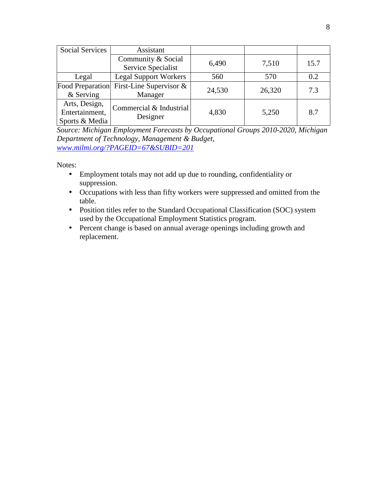| <b>Social Services</b> | Assistant                                |        |        |      |
|------------------------|------------------------------------------|--------|--------|------|
|                        | Community & Social                       | 6,490  | 7,510  | 15.7 |
|                        | Service Specialist                       |        |        |      |
| Legal                  | <b>Legal Support Workers</b>             | 560    | 570    | 0.2  |
|                        | Food Preparation First-Line Supervisor & |        | 26,320 | 7.3  |
| $&$ Serving            | Manager                                  | 24,530 |        |      |
| Arts, Design,          | Commercial & Industrial                  |        |        |      |
| Entertainment,         | Designer                                 | 4,830  | 5,250  | 8.7  |
| Sports & Media         |                                          |        |        |      |

*Source: Michigan Employment Forecasts by Occupational Groups 2010-2020, Michigan Department of Technology, Management & Budget, www.milmi.org/?PAGEID=67&SUBID=201*

Notes:

- Employment totals may not add up due to rounding, confidentiality or suppression.
- Occupations with less than fifty workers were suppressed and omitted from the table.
- Position titles refer to the Standard Occupational Classification (SOC) system used by the Occupational Employment Statistics program.
- Percent change is based on annual average openings including growth and replacement.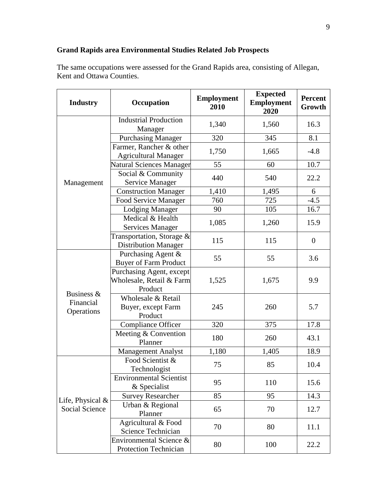## **Grand Rapids area Environmental Studies Related Job Prospects**

The same occupations were assessed for the Grand Rapids area, consisting of Allegan, Kent and Ottawa Counties.

| <b>Industry</b>                       | Occupation                                                      | <b>Employment</b><br>2010 | <b>Expected</b><br><b>Employment</b><br>2020 | <b>Percent</b><br>Growth |
|---------------------------------------|-----------------------------------------------------------------|---------------------------|----------------------------------------------|--------------------------|
|                                       | <b>Industrial Production</b><br>Manager                         | 1,340                     | 1,560                                        | 16.3                     |
|                                       | <b>Purchasing Manager</b>                                       | 320                       | 345                                          | 8.1                      |
|                                       | Farmer, Rancher & other<br><b>Agricultural Manager</b>          | 1,750                     | 1,665                                        | $-4.8$                   |
|                                       | <b>Natural Sciences Manager</b>                                 | 55                        | 60                                           | 10.7                     |
| Management                            | Social & Community<br>Service Manager                           | 440                       | 540                                          | 22.2                     |
|                                       | <b>Construction Manager</b>                                     | 1,410                     | 1,495                                        | 6                        |
|                                       | Food Service Manager                                            | 760                       | 725                                          | $-4.5$                   |
|                                       | <b>Lodging Manager</b>                                          | 90                        | 105                                          | 16.7                     |
|                                       | Medical & Health<br><b>Services Manager</b>                     | 1,085                     | 1,260                                        | 15.9                     |
|                                       | Transportation, Storage &<br><b>Distribution Manager</b>        | 115                       | 115                                          | $\boldsymbol{0}$         |
|                                       | Purchasing Agent &<br><b>Buyer of Farm Product</b>              | 55                        | 55                                           | 3.6                      |
| Business &<br>Financial<br>Operations | Purchasing Agent, except<br>Wholesale, Retail & Farm<br>Product | 1,525                     | 1,675                                        | 9.9                      |
|                                       | Wholesale & Retail<br>Buyer, except Farm<br>Product             | 245                       | 260                                          | 5.7                      |
|                                       | Compliance Officer                                              | 320                       | 375                                          | 17.8                     |
|                                       | Meeting & Convention<br>Planner                                 | 180                       | 260                                          | 43.1                     |
|                                       | <b>Management Analyst</b>                                       | 1,180                     | 1,405                                        | 18.9                     |
|                                       | Food Scientist &<br>Technologist                                | 75                        | 85                                           | 10.4                     |
| Life, Physical $&$<br>Social Science  | <b>Environmental Scientist</b><br>& Specialist                  | 95                        | 110                                          | 15.6                     |
|                                       | <b>Survey Researcher</b>                                        | 85                        | 95                                           | 14.3                     |
|                                       | Urban & Regional<br>Planner                                     | 65                        | 70                                           | 12.7                     |
|                                       | Agricultural & Food<br>Science Technician                       | 70                        | 80                                           | 11.1                     |
|                                       | Environmental Science &<br><b>Protection Technician</b>         | 80                        | 100                                          | 22.2                     |